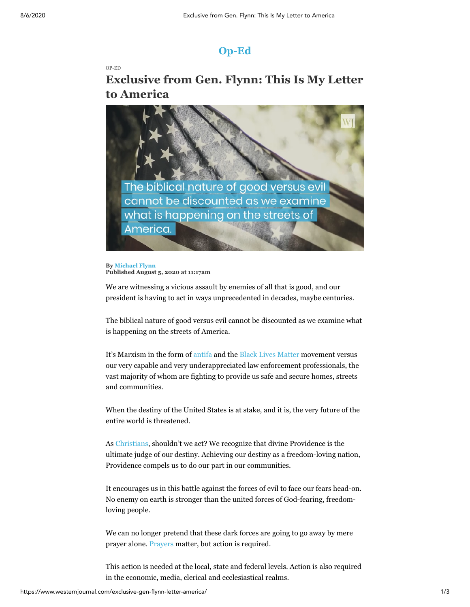## **[Op-Ed](https://www.westernjournal.com/op-ed/)**

[OP-ED](https://www.westernjournal.com/op-ed/)

## **Exclusive from Gen. Flynn: This Is My Letter to America**



**By [Michael Flynn](https://www.westernjournal.com/author/mflynn/) Published August 5, 2020 at 11:17am**

We are witnessing a vicious assault by enemies of all that is good, and our president is having to act in ways unprecedented in decades, maybe centuries.

The biblical nature of good versus evil cannot be discounted as we examine what is happening on the streets of America.

It's Marxism in the form of [antifa](https://www.westernjournal.com/ted-cruz-kicks-off-antifa-hearing-video-groups-violent-reality/) and the [Black Lives Matter](https://www.westernjournal.com/lone-nba-player-refuses-kneel-doesnt-wear-blm-shirt-gives-perfect-response-critics/) movement versus our very capable and very underappreciated law enforcement professionals, the vast majority of whom are fighting to provide us safe and secure homes, streets and communities.

When the destiny of the United States is at stake, and it is, the very future of the entire world is threatened.

As [Christians](https://www.westernjournal.com/christians-get-around-newsom-church-lockdown-5000-show-ca-beach-worship/), shouldn't we act? We recognize that divine Providence is the ultimate judge of our destiny. Achieving our destiny as a freedom-loving nation, Providence compels us to do our part in our communities.

It encourages us in this battle against the forces of evil to face our fears head-on. No enemy on earth is stronger than the united forces of God-fearing, freedomloving people.

We can no longer pretend that these dark forces are going to go away by mere prayer alone. [Prayers](https://www.westernjournal.com/1000-christians-gather-pray-riots-continue-across-country/) matter, but action is required.

This action is needed at the local, state and federal levels. Action is also required in the economic, media, clerical and ecclesiastical realms.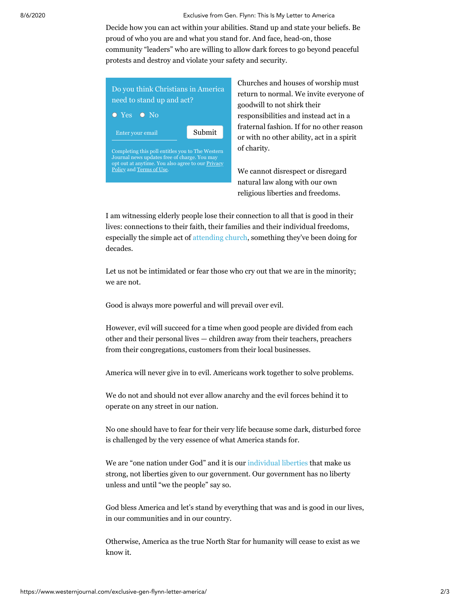8/6/2020 Exclusive from Gen. Flynn: This Is My Letter to America

Decide how you can act within your abilities. Stand up and state your beliefs. Be proud of who you are and what you stand for. And face, head-on, those community "leaders" who are willing to allow dark forces to go beyond peaceful protests and destroy and violate your safety and security.



Churches and houses of worship must return to normal. We invite everyone of goodwill to not shirk their responsibilities and instead act in a fraternal fashion. If for no other reason or with no other ability, act in a spirit of charity.

We cannot disrespect or disregard natural law along with our own religious liberties and freedoms.

I am witnessing elderly people lose their connection to all that is good in their lives: connections to their faith, their families and their individual freedoms, especially the simple act of [attending church,](https://www.westernjournal.com/john-macarthur-issues-stark-reminder-church-christ-not-caesar-head-church/) something they've been doing for decades.

Let us not be intimidated or fear those who cry out that we are in the minority; we are not.

Good is always more powerful and will prevail over evil.

However, evil will succeed for a time when good people are divided from each other and their personal lives — children away from their teachers, preachers from their congregations, customers from their local businesses.

America will never give in to evil. Americans work together to solve problems.

We do not and should not ever allow anarchy and the evil forces behind it to operate on any street in our nation.

No one should have to fear for their very life because some dark, disturbed force is challenged by the very essence of what America stands for.

We are "one nation under God" and it is our [individual liberties](https://www.westernjournal.com/de-blasio-trashes-1st-amend-says-protests-church-apples-oranges/) that make us strong, not liberties given to our government. Our government has no liberty unless and until "we the people" say so.

God bless America and let's stand by everything that was and is good in our lives, in our communities and in our country.

Otherwise, America as the true North Star for humanity will cease to exist as we know it.